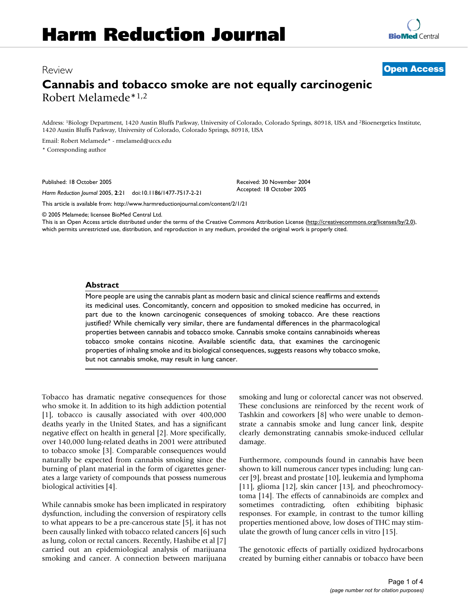## Review **[Open Access](http://www.biomedcentral.com/info/about/charter/)**

# **Cannabis and tobacco smoke are not equally carcinogenic** Robert Melamede\*1,2

Address: 1Biology Department, 1420 Austin Bluffs Parkway, University of Colorado, Colorado Springs, 80918, USA and 2Bioenergetics Institute, 1420 Austin Bluffs Parkway, University of Colorado, Colorado Springs, 80918, USA

Email: Robert Melamede\* - rmelamed@uccs.edu

\* Corresponding author

Published: 18 October 2005

*Harm Reduction Journal* 2005, **2**:21 doi:10.1186/1477-7517-2-21

[This article is available from: http://www.harmreductionjournal.com/content/2/1/21](http://www.harmreductionjournal.com/content/2/1/21)

© 2005 Melamede; licensee BioMed Central Ltd.

This is an Open Access article distributed under the terms of the Creative Commons Attribution License [\(http://creativecommons.org/licenses/by/2.0\)](http://creativecommons.org/licenses/by/2.0), which permits unrestricted use, distribution, and reproduction in any medium, provided the original work is properly cited.

Received: 30 November 2004 Accepted: 18 October 2005

#### **Abstract**

More people are using the cannabis plant as modern basic and clinical science reaffirms and extends its medicinal uses. Concomitantly, concern and opposition to smoked medicine has occurred, in part due to the known carcinogenic consequences of smoking tobacco. Are these reactions justified? While chemically very similar, there are fundamental differences in the pharmacological properties between cannabis and tobacco smoke. Cannabis smoke contains cannabinoids whereas tobacco smoke contains nicotine. Available scientific data, that examines the carcinogenic properties of inhaling smoke and its biological consequences, suggests reasons why tobacco smoke, but not cannabis smoke, may result in lung cancer.

Tobacco has dramatic negative consequences for those who smoke it. In addition to its high addiction potential [1], tobacco is causally associated with over 400,000 deaths yearly in the United States, and has a significant negative effect on health in general [2]. More specifically, over 140,000 lung-related deaths in 2001 were attributed to tobacco smoke [3]. Comparable consequences would naturally be expected from cannabis smoking since the burning of plant material in the form of cigarettes generates a large variety of compounds that possess numerous biological activities [4].

While cannabis smoke has been implicated in respiratory dysfunction, including the conversion of respiratory cells to what appears to be a pre-cancerous state [5], it has not been causally linked with tobacco related cancers [6] such as lung, colon or rectal cancers. Recently, Hashibe et al [7] carried out an epidemiological analysis of marijuana smoking and cancer. A connection between marijuana smoking and lung or colorectal cancer was not observed. These conclusions are reinforced by the recent work of Tashkin and coworkers [8] who were unable to demonstrate a cannabis smoke and lung cancer link, despite clearly demonstrating cannabis smoke-induced cellular damage.

Furthermore, compounds found in cannabis have been shown to kill numerous cancer types including: lung cancer [9], breast and prostate [10], leukemia and lymphoma [11], glioma [12], skin cancer [13], and pheochromocytoma [14]. The effects of cannabinoids are complex and sometimes contradicting, often exhibiting biphasic responses. For example, in contrast to the tumor killing properties mentioned above, low doses of THC may stimulate the growth of lung cancer cells in vitro [15].

The genotoxic effects of partially oxidized hydrocarbons created by burning either cannabis or tobacco have been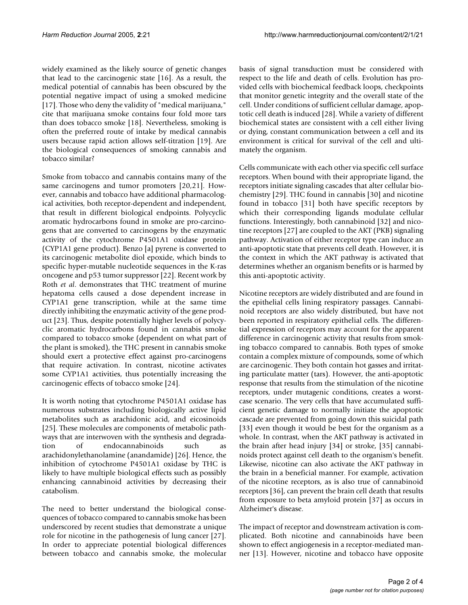widely examined as the likely source of genetic changes that lead to the carcinogenic state [16]. As a result, the medical potential of cannabis has been obscured by the potential negative impact of using a smoked medicine [17]. Those who deny the validity of "medical marijuana," cite that marijuana smoke contains four fold more tars than does tobacco smoke [18]. Nevertheless, smoking is often the preferred route of intake by medical cannabis users because rapid action allows self-titration [19]. Are the biological consequences of smoking cannabis and tobacco similar?

Smoke from tobacco and cannabis contains many of the same carcinogens and tumor promoters [20,21]. However, cannabis and tobacco have additional pharmacological activities, both receptor-dependent and independent, that result in different biological endpoints. Polycyclic aromatic hydrocarbons found in smoke are pro-carcinogens that are converted to carcinogens by the enzymatic activity of the cytochrome P4501A1 oxidase protein (CYP1A1 gene product). Benzo [a] pyrene is converted to its carcinogenic metabolite diol epoxide, which binds to specific hyper-mutable nucleotide sequences in the K-ras oncogene and p53 tumor suppressor [22]. Recent work by Roth *et al*. demonstrates that THC treatment of murine hepatoma cells caused a dose dependent increase in CYP1A1 gene transcription, while at the same time directly inhibiting the enzymatic activity of the gene product [23]. Thus, despite potentially higher levels of polycyclic aromatic hydrocarbons found in cannabis smoke compared to tobacco smoke (dependent on what part of the plant is smoked), the THC present in cannabis smoke should exert a protective effect against pro-carcinogens that require activation. In contrast, nicotine activates some CYP1A1 activities, thus potentially increasing the carcinogenic effects of tobacco smoke [24].

It is worth noting that cytochrome P4501A1 oxidase has numerous substrates including biologically active lipid metabolites such as arachidonic acid, and eicosinoids [25]. These molecules are components of metabolic pathways that are interwoven with the synthesis and degradation of endocannabinoids such as arachidonylethanolamine (anandamide) [26]. Hence, the inhibition of cytochrome P4501A1 oxidase by THC is likely to have multiple biological effects such as possibly enhancing cannabinoid activities by decreasing their catabolism.

The need to better understand the biological consequences of tobacco compared to cannabis smoke has been underscored by recent studies that demonstrate a unique role for nicotine in the pathogenesis of lung cancer [27]. In order to appreciate potential biological differences between tobacco and cannabis smoke, the molecular

basis of signal transduction must be considered with respect to the life and death of cells. Evolution has provided cells with biochemical feedback loops, checkpoints that monitor genetic integrity and the overall state of the cell. Under conditions of sufficient cellular damage, apoptotic cell death is induced [28]. While a variety of different biochemical states are consistent with a cell either living or dying, constant communication between a cell and its environment is critical for survival of the cell and ultimately the organism.

Cells communicate with each other via specific cell surface receptors. When bound with their appropriate ligand, the receptors initiate signaling cascades that alter cellular biochemistry [29]. THC found in cannabis [30] and nicotine found in tobacco [31] both have specific receptors by which their corresponding ligands modulate cellular functions. Interestingly, both cannabinoid [32] and nicotine receptors [27] are coupled to the AKT (PKB) signaling pathway. Activation of either receptor type can induce an anti-apoptotic state that prevents cell death. However, it is the context in which the AKT pathway is activated that determines whether an organism benefits or is harmed by this anti-apoptotic activity.

Nicotine receptors are widely distributed and are found in the epithelial cells lining respiratory passages. Cannabinoid receptors are also widely distributed, but have not been reported in respiratory epithelial cells. The differential expression of receptors may account for the apparent difference in carcinogenic activity that results from smoking tobacco compared to cannabis. Both types of smoke contain a complex mixture of compounds, some of which are carcinogenic. They both contain hot gasses and irritating particulate matter (tars). However, the anti-apoptotic response that results from the stimulation of the nicotine receptors, under mutagenic conditions, creates a worstcase scenario. The very cells that have accumulated sufficient genetic damage to normally initiate the apoptotic cascade are prevented from going down this suicidal path [33] even though it would be best for the organism as a whole. In contrast, when the AKT pathway is activated in the brain after head injury [34] or stroke, [35] cannabinoids protect against cell death to the organism's benefit. Likewise, nicotine can also activate the AKT pathway in the brain in a beneficial manner. For example, activation of the nicotine receptors, as is also true of cannabinoid receptors [36], can prevent the brain cell death that results from exposure to beta amyloid protein [37] as occurs in Alzheimer's disease.

The impact of receptor and downstream activation is complicated. Both nicotine and cannabinoids have been shown to effect angiogenesis in a receptor-mediated manner [13]. However, nicotine and tobacco have opposite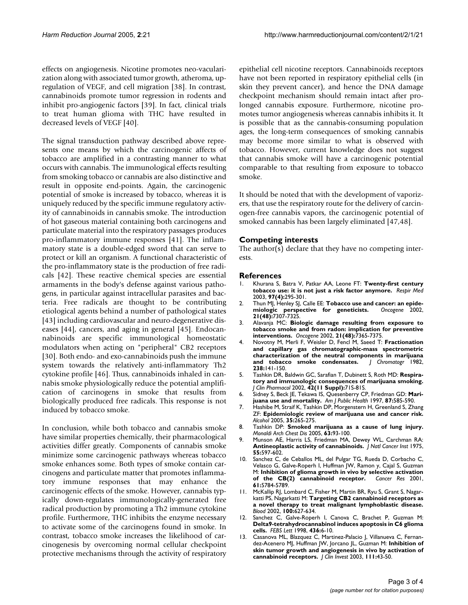effects on angiogenesis. Nicotine promotes neo-vacularization along with associated tumor growth, atheroma, upregulation of VEGF, and cell migration [38]. In contrast, cannabinoids promote tumor regression in rodents and inhibit pro-angiogenic factors [39]. In fact, clinical trials to treat human glioma with THC have resulted in decreased levels of VEGF [40].

The signal transduction pathway described above represents one means by which the carcinogenic affects of tobacco are amplified in a contrasting manner to what occurs with cannabis. The immunological effects resulting from smoking tobacco or cannabis are also distinctive and result in opposite end-points. Again, the carcinogenic potential of smoke is increased by tobacco, whereas it is uniquely reduced by the specific immune regulatory activity of cannabinoids in cannabis smoke. The introduction of hot gaseous material containing both carcinogens and particulate material into the respiratory passages produces pro-inflammatory immune responses [41]. The inflammatory state is a double-edged sword that can serve to protect or kill an organism. A functional characteristic of the pro-inflammatory state is the production of free radicals [42]. These reactive chemical species are essential armaments in the body's defense against various pathogens, in particular against intracellular parasites and bacteria. Free radicals are thought to be contributing etiological agents behind a number of pathological states [43] including cardiovascular and neuro-degenerative diseases [44], cancers, and aging in general [45]. Endocannabinoids are specific immunological homeostatic modulators when acting on "peripheral" CB2 receptors [30]. Both endo- and exo-cannabinoids push the immune system towards the relatively anti-inflammatory Th2 cytokine profile [46]. Thus, cannabinoids inhaled in cannabis smoke physiologically reduce the potential amplification of carcinogens in smoke that results from biologically produced free radicals. This response is not induced by tobacco smoke.

In conclusion, while both tobacco and cannabis smoke have similar properties chemically, their pharmacological activities differ greatly. Components of cannabis smoke minimize some carcinogenic pathways whereas tobacco smoke enhances some. Both types of smoke contain carcinogens and particulate matter that promotes inflammatory immune responses that may enhance the carcinogenic effects of the smoke. However, cannabis typically down-regulates immunologically-generated free radical production by promoting a Th2 immune cytokine profile. Furthermore, THC inhibits the enzyme necessary to activate some of the carcinogens found in smoke. In contrast, tobacco smoke increases the likelihood of carcinogenesis by overcoming normal cellular checkpoint protective mechanisms through the activity of respiratory epithelial cell nicotine receptors. Cannabinoids receptors have not been reported in respiratory epithelial cells (in skin they prevent cancer), and hence the DNA damage checkpoint mechanism should remain intact after prolonged cannabis exposure. Furthermore, nicotine promotes tumor angiogenesis whereas cannabis inhibits it. It is possible that as the cannabis-consuming population ages, the long-term consequences of smoking cannabis may become more similar to what is observed with tobacco. However, current knowledge does not suggest that cannabis smoke will have a carcinogenic potential comparable to that resulting from exposure to tobacco smoke.

It should be noted that with the development of vaporizers, that use the respiratory route for the delivery of carcinogen-free cannabis vapors, the carcinogenic potential of smoked cannabis has been largely eliminated [47,48].

### **Competing interests**

The author(s) declare that they have no competing interests.

#### **References**

- 1. Khurana S, Batra V, Patkar AA, Leone FT: **[Twenty-first century](http://www.ncbi.nlm.nih.gov/entrez/query.fcgi?cmd=Retrieve&db=PubMed&dopt=Abstract&list_uids=12693789) [tobacco use: it is not just a risk factor anymore.](http://www.ncbi.nlm.nih.gov/entrez/query.fcgi?cmd=Retrieve&db=PubMed&dopt=Abstract&list_uids=12693789)** *Respir Med* 2003, **97(4):**295-301.
- 2. Thun MJ, Henley SJ, Calle EE: **Tobacco use and cancer: an epide-**<br>miologic perspective for geneticists. Oncogene 2002, [miologic perspective for geneticists.](http://www.ncbi.nlm.nih.gov/entrez/query.fcgi?cmd=Retrieve&db=PubMed&dopt=Abstract&list_uids=12379875) **21(48):**7307-7325.
- 3. Alavanja MC: **[Biologic damage resulting from exposure to](http://www.ncbi.nlm.nih.gov/entrez/query.fcgi?cmd=Retrieve&db=PubMed&dopt=Abstract&list_uids=12379879) [tobacco smoke and from radon: implication for preventive](http://www.ncbi.nlm.nih.gov/entrez/query.fcgi?cmd=Retrieve&db=PubMed&dopt=Abstract&list_uids=12379879) [interventions.](http://www.ncbi.nlm.nih.gov/entrez/query.fcgi?cmd=Retrieve&db=PubMed&dopt=Abstract&list_uids=12379879)** *Oncogene* 2002, **21(48):**7365-7375.
- 4. Novotny M, Merli F, Weisler D, Fencl M, Saeed T: **Fractionation and capillary gas chromatographic-mass spectrometric characterization of the neutral components in marijuana and tobacco smoke condensates.** *J Chromatogr* 1982, **238:**141-150.
- 5. Tashkin DR, Baldwin GC, Sarafian T, Dubinett S, Roth MD: **[Respira](http://www.ncbi.nlm.nih.gov/entrez/query.fcgi?cmd=Retrieve&db=PubMed&dopt=Abstract&list_uids=12412839)[tory and immunologic consequences of marijuana smoking.](http://www.ncbi.nlm.nih.gov/entrez/query.fcgi?cmd=Retrieve&db=PubMed&dopt=Abstract&list_uids=12412839)** *J Clin Pharmacol* 2002, **42(11 Suppl):**71S-81S.
- 6. Sidney S, Beck JE, Tekawa IS, Quesenberry CP, Friedman GD: **[Mari](http://www.ncbi.nlm.nih.gov/entrez/query.fcgi?cmd=Retrieve&db=PubMed&dopt=Abstract&list_uids=9146436)[juana use and mortality.](http://www.ncbi.nlm.nih.gov/entrez/query.fcgi?cmd=Retrieve&db=PubMed&dopt=Abstract&list_uids=9146436)** *Am J Public Health* 1997, **87:**585-590.
- 7. Hashibe M, Straif K, Tashkin DP, Morgenstern H, Greenland S, Zhang ZF: **[Epidemiologic review of marijuana use and cancer risk.](http://www.ncbi.nlm.nih.gov/entrez/query.fcgi?cmd=Retrieve&db=PubMed&dopt=Abstract&list_uids=16054989)** *Alcohol* 2005, **35:**265-275.
- 8. Tashkin DP: **[Smoked marijuana as a cause of lung injury.](http://www.ncbi.nlm.nih.gov/entrez/query.fcgi?cmd=Retrieve&db=PubMed&dopt=Abstract&list_uids=16128224)** *Monaldi Arch Chest Dis* 2005, **63:**93-100.
- 9. Munson AE, Harris LS, Friedman MA, Dewey WL, Carchman RA: **[Antineoplastic activity of cannabinoids.](http://www.ncbi.nlm.nih.gov/entrez/query.fcgi?cmd=Retrieve&db=PubMed&dopt=Abstract&list_uids=1159836)** *J Natl Cancer Inst* 1975, **55:**597-602.
- 10. Sanchez C, de Ceballos ML, del Pulgar TG, Rueda D, Corbacho C, Velasco G, Galve-Roperh I, Huffman JW, Ramon y, Cajal S, Guzman M: **[Inhibition of glioma growth in vivo by selective activation](http://www.ncbi.nlm.nih.gov/entrez/query.fcgi?cmd=Retrieve&db=PubMed&dopt=Abstract&list_uids=11479216) [of the CB\(2\) cannabinoid receptor.](http://www.ncbi.nlm.nih.gov/entrez/query.fcgi?cmd=Retrieve&db=PubMed&dopt=Abstract&list_uids=11479216)** *Cancer Res* 2001, **61:**5784-5789.
- 11. McKallip RJ, Lombard C, Fisher M, Martin BR, Ryu S, Grant S, Nagarkatti PS, Nagarkatti M: **[Targeting CB2 cannabinoid receptors as](http://www.ncbi.nlm.nih.gov/entrez/query.fcgi?cmd=Retrieve&db=PubMed&dopt=Abstract&list_uids=12091357) [a novel therapy to treat malignant lymphoblastic disease.](http://www.ncbi.nlm.nih.gov/entrez/query.fcgi?cmd=Retrieve&db=PubMed&dopt=Abstract&list_uids=12091357)** *Blood* 2002, **100:**627-634.
- 12. Sanchez C, Galve-Roperh I, Canova C, Brachet P, Guzman M: **[Delta9-tetrahydrocannabinol induces apoptosis in C6 glioma](http://www.ncbi.nlm.nih.gov/entrez/query.fcgi?cmd=Retrieve&db=PubMed&dopt=Abstract&list_uids=9771884) [cells.](http://www.ncbi.nlm.nih.gov/entrez/query.fcgi?cmd=Retrieve&db=PubMed&dopt=Abstract&list_uids=9771884)** *FEBS Lett* 1998, **436:**6-10.
- 13. Casanova ML, Blazquez C, Martinez-Palacio J, Villanueva C, Fernandez-Acenero MJ, Huffman JW, Jorcano JL, Guzman M: **[Inhibition of](http://www.ncbi.nlm.nih.gov/entrez/query.fcgi?cmd=Retrieve&db=PubMed&dopt=Abstract&list_uids=12511587) [skin tumor growth and angiogenesis in vivo by activation of](http://www.ncbi.nlm.nih.gov/entrez/query.fcgi?cmd=Retrieve&db=PubMed&dopt=Abstract&list_uids=12511587) [cannabinoid receptors.](http://www.ncbi.nlm.nih.gov/entrez/query.fcgi?cmd=Retrieve&db=PubMed&dopt=Abstract&list_uids=12511587)** *J Clin Invest* 2003, **111:**43-50.